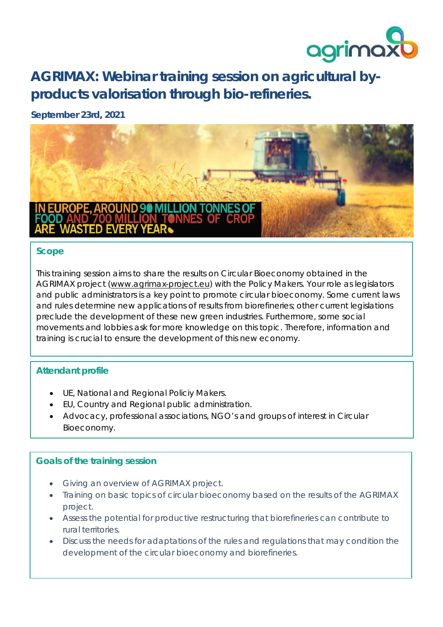

**AGRIMAX: Webinar training session on agricultural byproducts valorisation through bio-refineries.**

# **September 23rd, 2021**



### **Scope**

This training session aims to share the results on Circular Bioeconomy obtained in the AGRIMAX project [\(www.agrimax-project.eu\)](http://www.agrimax-project.eu/) with the Policy Makers. Your role as legislators and public administrators is a key point to promote circular bioeconomy. Some current laws and rules determine new applications of results from biorefineries; other current legislations preclude the development of these new green industries. Furthermore, some social movements and lobbies ask for more knowledge on this topic. Therefore, information and training is crucial to ensure the development of this new economy.

# **Attendant profile**

- UE, National and Regional Policiy Makers.
- EU, Country and Regional public administration.
- Advocacy, professional associations, NGO's and groups of interest in Circular Bioeconomy.

# **Goals of the training session**

- Giving an overview of AGRIMAX project.
- Training on basic topics of circular bioeconomy based on the results of the AGRIMAX project.
- Assess the potential for productive restructuring that biorefineries can contribute to rural territories.
- Discuss the needs for adaptations of the rules and regulations that may condition the development of the circular bioeconomy and biorefineries.